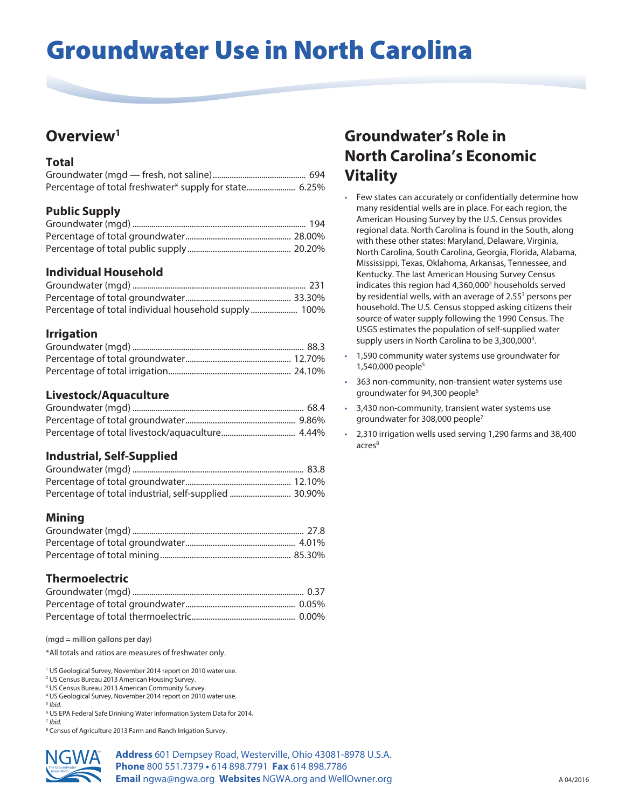# Groundwater Use in North Carolina

## **Overview1**

#### **Total**

| Percentage of total freshwater* supply for state 6.25% |  |
|--------------------------------------------------------|--|

#### **Public Supply**

#### **Individual Household**

| Percentage of total individual household supply 100% |  |
|------------------------------------------------------|--|

#### **Irrigation**

#### **Livestock/Aquaculture**

#### **Industrial, Self-Supplied**

| Percentage of total industrial, self-supplied  30.90% |  |
|-------------------------------------------------------|--|

#### **Mining**

#### **Thermoelectric**

(mgd = million gallons per day)

\*All totals and ratios are measures of freshwater only.

<sup>1</sup> US Geological Survey, November 2014 report on 2010 water use.

<sup>2</sup> US Census Bureau 2013 American Housing Survey.

3 US Census Bureau 2013 American Community Survey.

4 US Geological Survey, November 2014 report on 2010 water use.

<sup>5</sup> *Ibid.*

6 US EPA Federal Safe Drinking Water Information System Data for 2014.

<sup>7</sup> *Ibid.*

<sup>8</sup> Census of Agriculture 2013 Farm and Ranch Irrigation Survey.



**Address** 601 Dempsey Road, Westerville, Ohio 43081-8978 U.S.A. **Phone** 800 551.7379 **•** 614 898.7791 **Fax** 614 898.7786 **Email** ngwa@ngwa.org **Websites** NGWA.org and WellOwner.org

## **Groundwater's Role in North Carolina's Economic Vitality**

- Few states can accurately or confidentially determine how many residential wells are in place. For each region, the American Housing Survey by the U.S. Census provides regional data. North Carolina is found in the South, along with these other states: Maryland, Delaware, Virginia, North Carolina, South Carolina, Georgia, Florida, Alabama, Mississippi, Texas, Oklahoma, Arkansas, Tennessee, and Kentucky. The last American Housing Survey Census indicates this region had 4,360,000<sup>2</sup> households served by residential wells, with an average of 2.55<sup>3</sup> persons per household. The U.S. Census stopped asking citizens their source of water supply following the 1990 Census. The USGS estimates the population of self-supplied water supply users in North Carolina to be 3,300,000<sup>4</sup>.
- 1,590 community water systems use groundwater for 1,540,000 people5
- 363 non-community, non-transient water systems use groundwater for 94,300 people<sup>6</sup>
- 3,430 non-community, transient water systems use groundwater for 308,000 people7
- 2,310 irrigation wells used serving 1,290 farms and 38,400 acres<sup>8</sup>